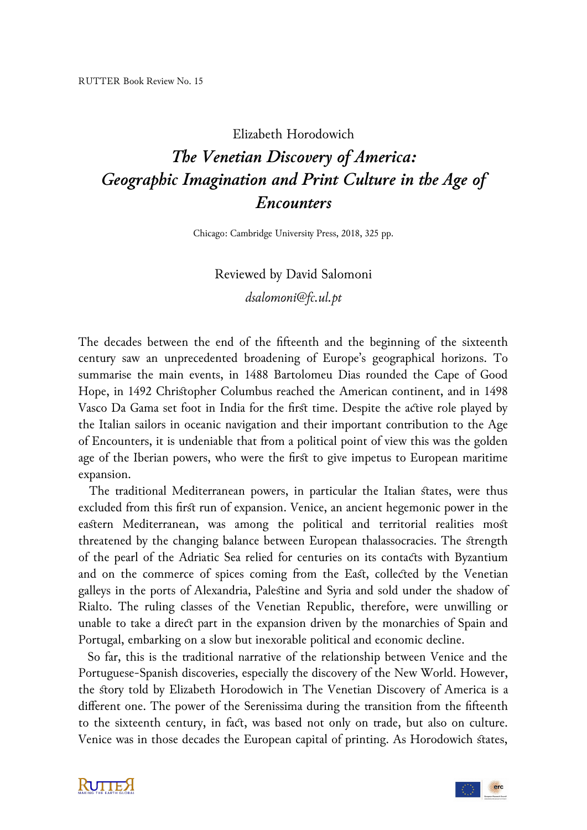## Elizabeth Horodowich

## *The Venetian Discovery of America: Geographic Imagination and Print Culture in the Age of Encounters*

Chicago: Cambridge University Press, 2018, 325 pp.

## Reviewed by David Salomoni *dsalomoni@fc.ul.pt*

The decades between the end of the fifteenth and the beginning of the sixteenth century saw an unprecedented broadening of Europe's geographical horizons. To summarise the main events, in 1488 Bartolomeu Dias rounded the Cape of Good Hope, in 1492 Christopher Columbus reached the American continent, and in 1498 Vasco Da Gama set foot in India for the first time. Despite the active role played by the Italian sailors in oceanic navigation and their important contribution to the Age of Encounters, it is undeniable that from a political point of view this was the golden age of the Iberian powers, who were the first to give impetus to European maritime expansion.

 The traditional Mediterranean powers, in particular the Italian states, were thus excluded from this first run of expansion. Venice, an ancient hegemonic power in the eastern Mediterranean, was among the political and territorial realities most threatened by the changing balance between European thalassocracies. The strength of the pearl of the Adriatic Sea relied for centuries on its contacts with Byzantium and on the commerce of spices coming from the East, collected by the Venetian galleys in the ports of Alexandria, Palestine and Syria and sold under the shadow of Rialto. The ruling classes of the Venetian Republic, therefore, were unwilling or unable to take a direct part in the expansion driven by the monarchies of Spain and Portugal, embarking on a slow but inexorable political and economic decline.

 So far, this is the traditional narrative of the relationship between Venice and the Portuguese-Spanish discoveries, especially the discovery of the New World. However, the story told by Elizabeth Horodowich in The Venetian Discovery of America is a different one. The power of the Serenissima during the transition from the fifteenth to the sixteenth century, in fact, was based not only on trade, but also on culture. Venice was in those decades the European capital of printing. As Horodowich states,



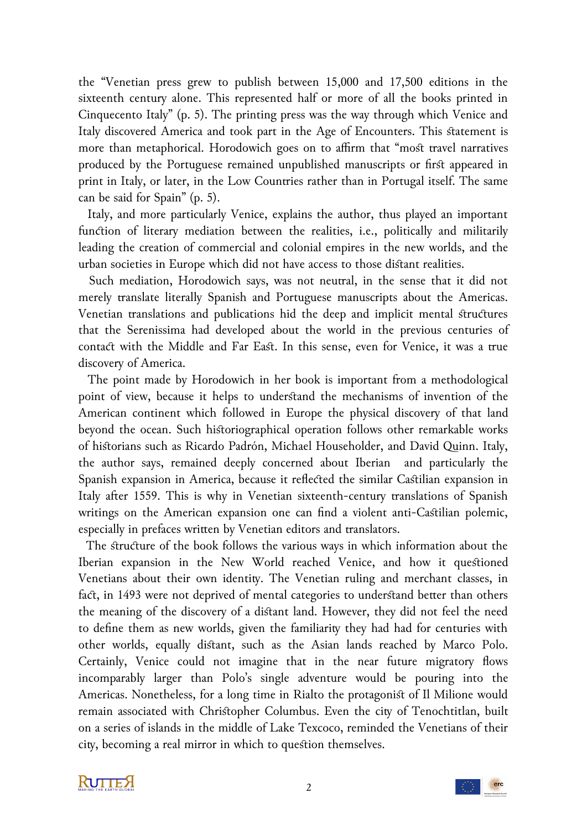the "Venetian press grew to publish between 15,000 and 17,500 editions in the sixteenth century alone. This represented half or more of all the books printed in Cinquecento Italy" (p. 5). The printing press was the way through which Venice and Italy discovered America and took part in the Age of Encounters. This statement is more than metaphorical. Horodowich goes on to affirm that "most travel narratives produced by the Portuguese remained unpublished manuscripts or first appeared in print in Italy, or later, in the Low Countries rather than in Portugal itself. The same can be said for Spain" (p. 5).

 Italy, and more particularly Venice, explains the author, thus played an important function of literary mediation between the realities, i.e., politically and militarily leading the creation of commercial and colonial empires in the new worlds, and the urban societies in Europe which did not have access to those distant realities.

 Such mediation, Horodowich says, was not neutral, in the sense that it did not merely translate literally Spanish and Portuguese manuscripts about the Americas. Venetian translations and publications hid the deep and implicit mental structures that the Serenissima had developed about the world in the previous centuries of contact with the Middle and Far East. In this sense, even for Venice, it was a true discovery of America.

 The point made by Horodowich in her book is important from a methodological point of view, because it helps to understand the mechanisms of invention of the American continent which followed in Europe the physical discovery of that land beyond the ocean. Such historiographical operation follows other remarkable works of historians such as Ricardo Padrón, Michael Householder, and David Quinn. Italy, the author says, remained deeply concerned about Iberian and particularly the Spanish expansion in America, because it reflected the similar Castilian expansion in Italy after 1559. This is why in Venetian sixteenth-century translations of Spanish writings on the American expansion one can find a violent anti-Castilian polemic, especially in prefaces written by Venetian editors and translators.

 The structure of the book follows the various ways in which information about the Iberian expansion in the New World reached Venice, and how it questioned Venetians about their own identity. The Venetian ruling and merchant classes, in fact, in 1493 were not deprived of mental categories to understand better than others the meaning of the discovery of a distant land. However, they did not feel the need to define them as new worlds, given the familiarity they had had for centuries with other worlds, equally distant, such as the Asian lands reached by Marco Polo. Certainly, Venice could not imagine that in the near future migratory flows incomparably larger than Polo's single adventure would be pouring into the Americas. Nonetheless, for a long time in Rialto the protagonist of Il Milione would remain associated with Christopher Columbus. Even the city of Tenochtitlan, built on a series of islands in the middle of Lake Texcoco, reminded the Venetians of their city, becoming a real mirror in which to question themselves.